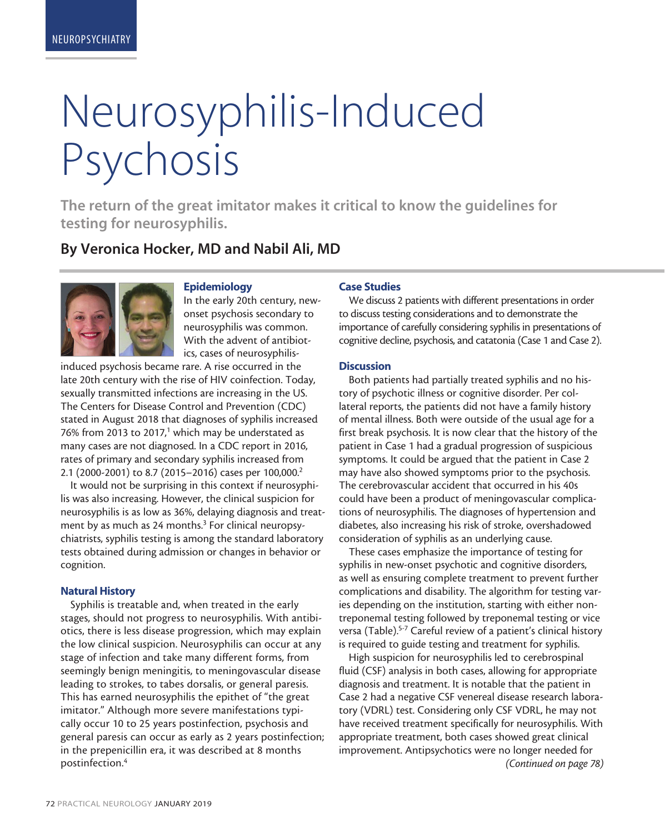# Neurosyphilis-Induced Psychosis

The return of the great imitator makes it critical to know the guidelines for testing for neurosyphilis.

# By Veronica Hocker, MD and Nabil Ali, MD



# Epidemiology

In the early 20th century, newonset psychosis secondary to neurosyphilis was common. With the advent of antibiotics, cases of neurosyphilis-

induced psychosis became rare. A rise occurred in the late 20th century with the rise of HIV coinfection. Today, sexually transmitted infections are increasing in the US. The Centers for Disease Control and Prevention (CDC) stated in August 2018 that diagnoses of syphilis increased 76% from 2013 to 2017,<sup>1</sup> which may be understated as many cases are not diagnosed. In a CDC report in 2016, rates of primary and secondary syphilis increased from 2.1 (2000-2001) to 8.7 (2015–2016) cases per 100,000.2

It would not be surprising in this context if neurosyphilis was also increasing. However, the clinical suspicion for neurosyphilis is as low as 36%, delaying diagnosis and treatment by as much as 24 months.<sup>3</sup> For clinical neuropsychiatrists, syphilis testing is among the standard laboratory tests obtained during admission or changes in behavior or cognition.

#### Natural History

Syphilis is treatable and, when treated in the early stages, should not progress to neurosyphilis. With antibiotics, there is less disease progression, which may explain the low clinical suspicion. Neurosyphilis can occur at any stage of infection and take many different forms, from seemingly benign meningitis, to meningovascular disease leading to strokes, to tabes dorsalis, or general paresis. This has earned neurosyphilis the epithet of "the great imitator." Although more severe manifestations typically occur 10 to 25 years postinfection, psychosis and general paresis can occur as early as 2 years postinfection; in the prepenicillin era, it was described at 8 months postinfection.4

# Case Studies

We discuss 2 patients with different presentations in order to discuss testing considerations and to demonstrate the importance of carefully considering syphilis in presentations of cognitive decline, psychosis, and catatonia (Case 1 and Case 2).

## **Discussion**

Both patients had partially treated syphilis and no history of psychotic illness or cognitive disorder. Per collateral reports, the patients did not have a family history of mental illness. Both were outside of the usual age for a first break psychosis. It is now clear that the history of the patient in Case 1 had a gradual progression of suspicious symptoms. It could be argued that the patient in Case 2 may have also showed symptoms prior to the psychosis. The cerebrovascular accident that occurred in his 40s could have been a product of meningovascular complications of neurosyphilis. The diagnoses of hypertension and diabetes, also increasing his risk of stroke, overshadowed consideration of syphilis as an underlying cause.

These cases emphasize the importance of testing for syphilis in new-onset psychotic and cognitive disorders, as well as ensuring complete treatment to prevent further complications and disability. The algorithm for testing varies depending on the institution, starting with either nontreponemal testing followed by treponemal testing or vice versa (Table).<sup>5-7</sup> Careful review of a patient's clinical history is required to guide testing and treatment for syphilis.

High suspicion for neurosyphilis led to cerebrospinal fluid (CSF) analysis in both cases, allowing for appropriate diagnosis and treatment. It is notable that the patient in Case 2 had a negative CSF venereal disease research laboratory (VDRL) test. Considering only CSF VDRL, he may not have received treatment specifically for neurosyphilis. With appropriate treatment, both cases showed great clinical improvement. Antipsychotics were no longer needed for *(Continued on page 78)*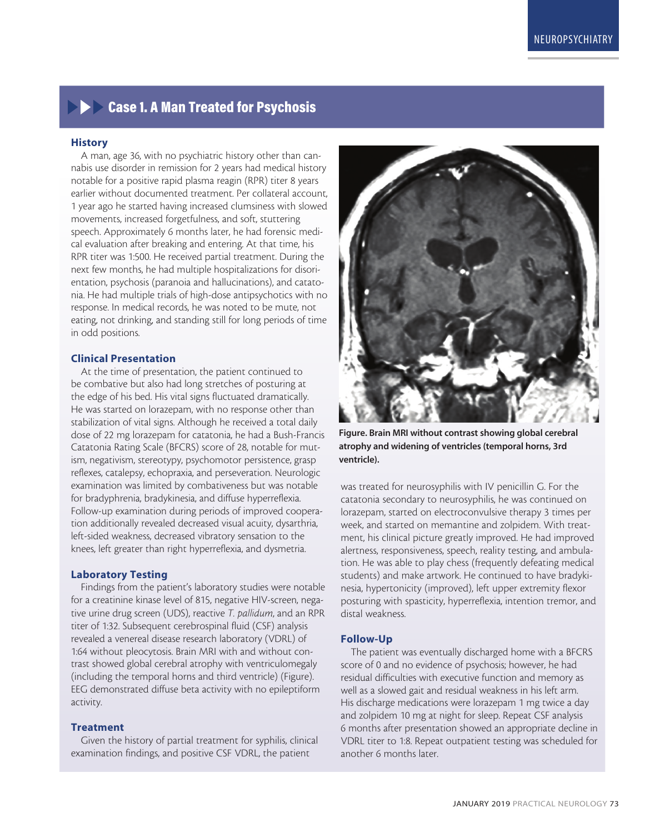# **Case 1. A Man Treated for Psychosis**

#### **History**

A man, age 36, with no psychiatric history other than cannabis use disorder in remission for 2 years had medical history notable for a positive rapid plasma reagin (RPR) titer 8 years earlier without documented treatment. Per collateral account, 1 year ago he started having increased clumsiness with slowed movements, increased forgetfulness, and soft, stuttering speech. Approximately 6 months later, he had forensic medical evaluation after breaking and entering. At that time, his RPR titer was 1:500. He received partial treatment. During the next few months, he had multiple hospitalizations for disorientation, psychosis (paranoia and hallucinations), and catatonia. He had multiple trials of high-dose antipsychotics with no response. In medical records, he was noted to be mute, not eating, not drinking, and standing still for long periods of time in odd positions.

#### Clinical Presentation

At the time of presentation, the patient continued to be combative but also had long stretches of posturing at the edge of his bed. His vital signs fluctuated dramatically. He was started on lorazepam, with no response other than stabilization of vital signs. Although he received a total daily dose of 22 mg lorazepam for catatonia, he had a Bush-Francis Catatonia Rating Scale (BFCRS) score of 28, notable for mutism, negativism, stereotypy, psychomotor persistence, grasp reflexes, catalepsy, echopraxia, and perseveration. Neurologic examination was limited by combativeness but was notable for bradyphrenia, bradykinesia, and diffuse hyperreflexia. Follow-up examination during periods of improved cooperation additionally revealed decreased visual acuity, dysarthria, left-sided weakness, decreased vibratory sensation to the knees, left greater than right hyperreflexia, and dysmetria.

## Laboratory Testing

Findings from the patient's laboratory studies were notable for a creatinine kinase level of 815, negative HIV-screen, negative urine drug screen (UDS), reactive *T. pallidum*, and an RPR titer of 1:32. Subsequent cerebrospinal fluid (CSF) analysis revealed a venereal disease research laboratory (VDRL) of 1:64 without pleocytosis. Brain MRI with and without contrast showed global cerebral atrophy with ventriculomegaly (including the temporal horns and third ventricle) (Figure). EEG demonstrated diffuse beta activity with no epileptiform activity.

#### **Treatment**

Given the history of partial treatment for syphilis, clinical examination findings, and positive CSF VDRL, the patient



Figure. Brain MRI without contrast showing global cerebral atrophy and widening of ventricles (temporal horns, 3rd ventricle).

was treated for neurosyphilis with IV penicillin G. For the catatonia secondary to neurosyphilis, he was continued on lorazepam, started on electroconvulsive therapy 3 times per week, and started on memantine and zolpidem. With treatment, his clinical picture greatly improved. He had improved alertness, responsiveness, speech, reality testing, and ambulation. He was able to play chess (frequently defeating medical students) and make artwork. He continued to have bradykinesia, hypertonicity (improved), left upper extremity flexor posturing with spasticity, hyperreflexia, intention tremor, and distal weakness.

#### Follow-Up

The patient was eventually discharged home with a BFCRS score of 0 and no evidence of psychosis; however, he had residual difficulties with executive function and memory as well as a slowed gait and residual weakness in his left arm. His discharge medications were lorazepam 1 mg twice a day and zolpidem 10 mg at night for sleep. Repeat CSF analysis 6 months after presentation showed an appropriate decline in VDRL titer to 1:8. Repeat outpatient testing was scheduled for another 6 months later.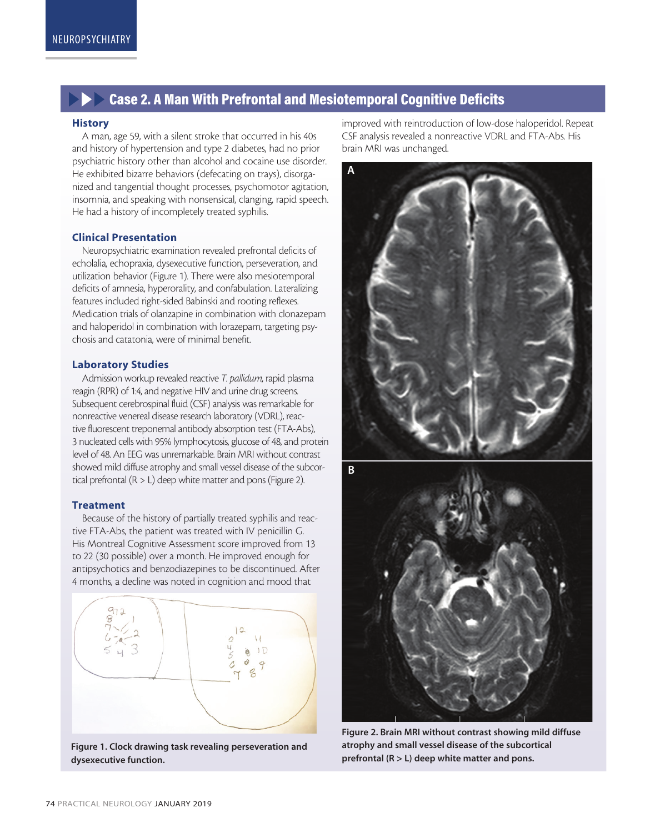# Case 2. A Man With Prefrontal and Mesiotemporal Cognitive Deficits

#### **History**

A man, age 59, with a silent stroke that occurred in his 40s and history of hypertension and type 2 diabetes, had no prior psychiatric history other than alcohol and cocaine use disorder. He exhibited bizarre behaviors (defecating on trays), disorganized and tangential thought processes, psychomotor agitation, insomnia, and speaking with nonsensical, clanging, rapid speech. He had a history of incompletely treated syphilis.

#### Clinical Presentation

Neuropsychiatric examination revealed prefrontal deficits of echolalia, echopraxia, dysexecutive function, perseveration, and utilization behavior (Figure 1). There were also mesiotemporal deficits of amnesia, hyperorality, and confabulation. Lateralizing features included right-sided Babinski and rooting reflexes. Medication trials of olanzapine in combination with clonazepam and haloperidol in combination with lorazepam, targeting psychosis and catatonia, were of minimal benefit.

#### Laboratory Studies

Admission workup revealed reactive *T. pallidum*, rapid plasma reagin (RPR) of 1:4, and negative HIV and urine drug screens. Subsequent cerebrospinal fluid (CSF) analysis was remarkable for nonreactive venereal disease research laboratory (VDRL), reactive fluorescent treponemal antibody absorption test (FTA-Abs), 3 nucleated cells with 95% lymphocytosis, glucose of 48, and protein level of 48. An EEG was unremarkable. Brain MRI without contrast showed mild diffuse atrophy and small vessel disease of the subcortical prefrontal  $(R > L)$  deep white matter and pons (Figure 2).

#### **Treatment**

Because of the history of partially treated syphilis and reactive FTA-Abs, the patient was treated with IV penicillin G. His Montreal Cognitive Assessment score improved from 13 to 22 (30 possible) over a month. He improved enough for antipsychotics and benzodiazepines to be discontinued. After 4 months, a decline was noted in cognition and mood that



Figure 1. Clock drawing task revealing perseveration and dysexecutive function.

improved with reintroduction of low-dose haloperidol. Repeat CSF analysis revealed a nonreactive VDRL and FTA-Abs. His brain MRI was unchanged.



Figure 2. Brain MRI without contrast showing mild diffuse atrophy and small vessel disease of the subcortical prefrontal  $(R > L)$  deep white matter and pons.